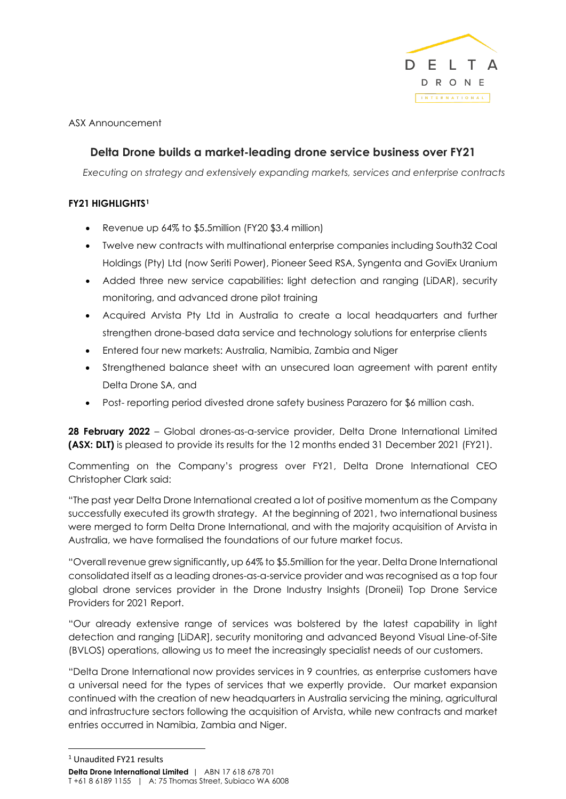

ASX Announcement

# **Delta Drone builds a market-leading drone service business over FY21**

*Executing on strategy and extensively expanding markets, services and enterprise contracts* 

# **FY21 HIGHLIGHTS[1](#page-0-0)**

- Revenue up 64% to \$5.5million (FY20 \$3.4 million)
- Twelve new contracts with multinational enterprise companies including South32 Coal Holdings (Pty) Ltd (now Seriti Power), Pioneer Seed RSA, Syngenta and GoviEx Uranium
- Added three new service capabilities: light detection and ranging (LiDAR), security monitoring, and advanced drone pilot training
- Acquired Arvista Pty Ltd in Australia to create a local headquarters and further strengthen drone-based data service and technology solutions for enterprise clients
- Entered four new markets: Australia, Namibia, Zambia and Niger
- Strengthened balance sheet with an unsecured loan agreement with parent entity Delta Drone SA, and
- Post- reporting period divested drone safety business Parazero for \$6 million cash.

**28 February 2022** – Global drones-as-a-service provider, Delta Drone International Limited **(ASX: DLT)** is pleased to provide its results for the 12 months ended 31 December 2021 (FY21).

Commenting on the Company's progress over FY21, Delta Drone International CEO Christopher Clark said:

"The past year Delta Drone International created a lot of positive momentum as the Company successfully executed its growth strategy. At the beginning of 2021, two international business were merged to form Delta Drone International, and with the majority acquisition of Arvista in Australia, we have formalised the foundations of our future market focus.

"Overall revenue grew significantly, up 64% to \$5.5million for the year. Delta Drone International consolidated itself as a leading drones-as-a-service provider and was recognised as a top four global drone services provider in the Drone Industry Insights (Droneii) Top Drone Service Providers for 2021 Report.

"Our already extensive range of services was bolstered by the latest capability in light detection and ranging [LiDAR], security monitoring and advanced Beyond Visual Line-of-Site (BVLOS) operations, allowing us to meet the increasingly specialist needs of our customers.

"Delta Drone International now provides services in 9 countries, as enterprise customers have a universal need for the types of services that we expertly provide. Our market expansion continued with the creation of new headquarters in Australia servicing the mining, agricultural and infrastructure sectors following the acquisition of Arvista, while new contracts and market entries occurred in Namibia, Zambia and Niger.

<span id="page-0-0"></span><sup>1</sup> Unaudited FY21 results

**Delta Drone International Limited** | ABN 17 618 678 701 T +61 8 6189 1155 | A: 75 Thomas Street, Subiaco WA 6008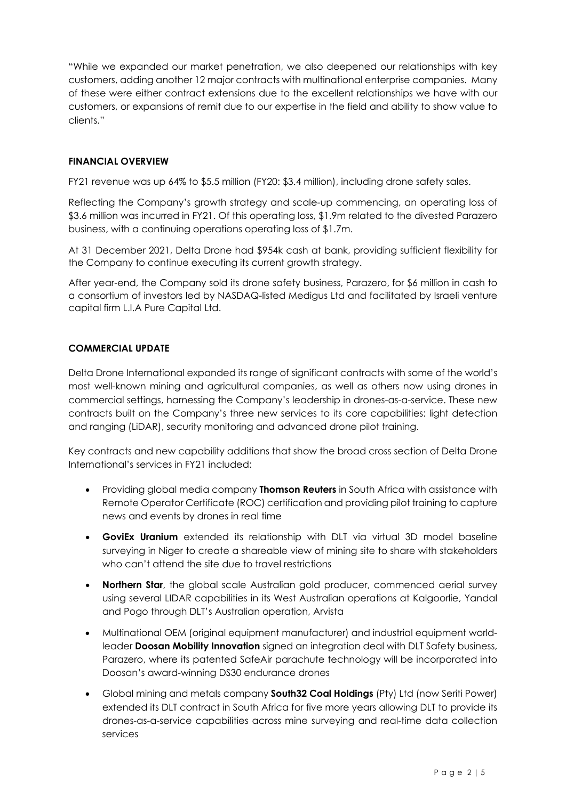"While we expanded our market penetration, we also deepened our relationships with key customers, adding another 12 major contracts with multinational enterprise companies. Many of these were either contract extensions due to the excellent relationships we have with our customers, or expansions of remit due to our expertise in the field and ability to show value to clients."

# **FINANCIAL OVERVIEW**

FY21 revenue was up 64% to \$5.5 million (FY20: \$3.4 million), including drone safety sales.

Reflecting the Company's growth strategy and scale-up commencing, an operating loss of \$3.6 million was incurred in FY21. Of this operating loss, \$1.9m related to the divested Parazero business, with a continuing operations operating loss of \$1.7m.

At 31 December 2021, Delta Drone had \$954k cash at bank, providing sufficient flexibility for the Company to continue executing its current growth strategy.

After year-end, the Company sold its drone safety business, Parazero, for \$6 million in cash to a consortium of investors led by NASDAQ-listed Medigus Ltd and facilitated by Israeli venture capital firm L.I.A Pure Capital Ltd.

## **COMMERCIAL UPDATE**

Delta Drone International expanded its range of significant contracts with some of the world's most well-known mining and agricultural companies, as well as others now using drones in commercial settings, harnessing the Company's leadership in drones-as-a-service. These new contracts built on the Company's three new services to its core capabilities: light detection and ranging (LiDAR), security monitoring and advanced drone pilot training.

Key contracts and new capability additions that show the broad cross section of Delta Drone International's services in FY21 included:

- Providing global media company **Thomson Reuters** in South Africa with assistance with Remote Operator Certificate (ROC) certification and providing pilot training to capture news and events by drones in real time
- **GoviEx Uranium** extended its relationship with DLT via virtual 3D model baseline surveying in Niger to create a shareable view of mining site to share with stakeholders who can't attend the site due to travel restrictions
- **Northern Star**, the global scale Australian gold producer, commenced aerial survey using several LIDAR capabilities in its West Australian operations at Kalgoorlie, Yandal and Pogo through DLT's Australian operation, Arvista
- Multinational OEM (original equipment manufacturer) and industrial equipment worldleader **Doosan Mobility Innovation** signed an integration deal with DLT Safety business, Parazero, where its patented SafeAir parachute technology will be incorporated into Doosan's award-winning DS30 endurance drones
- Global mining and metals company **South32 Coal Holdings** (Pty) Ltd (now Seriti Power) extended its DLT contract in South Africa for five more years allowing DLT to provide its drones-as-a-service capabilities across mine surveying and real-time data collection services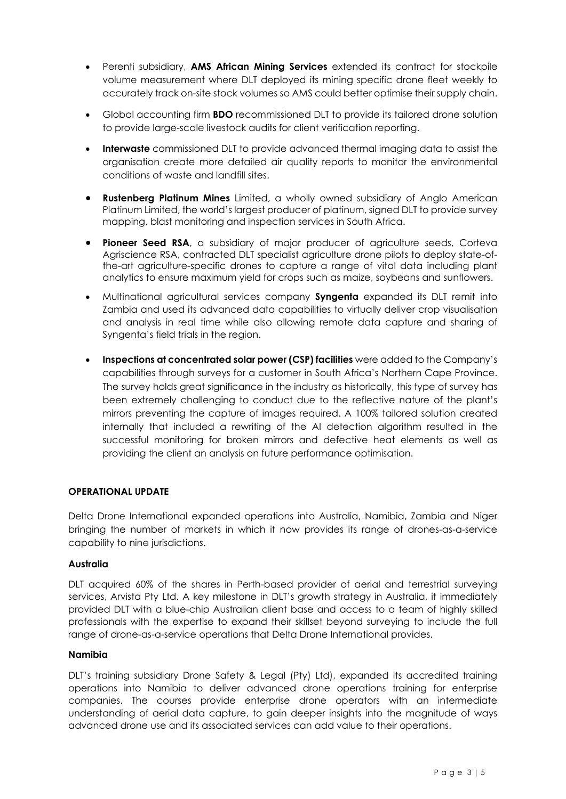- Perenti subsidiary, **AMS African Mining Services** extended its contract for stockpile volume measurement where DLT deployed its mining specific drone fleet weekly to accurately track on-site stock volumes so AMS could better optimise their supply chain.
- Global accounting firm **BDO** recommissioned DLT to provide its tailored drone solution to provide large-scale livestock audits for client verification reporting.
- **Interwaste** commissioned DLT to provide advanced thermal imaging data to assist the organisation create more detailed air quality reports to monitor the environmental conditions of waste and landfill sites.
- **Rustenberg Platinum Mines** Limited, a wholly owned subsidiary of Anglo American Platinum Limited, the world's largest producer of platinum, signed DLT to provide survey mapping, blast monitoring and inspection services in South Africa.
- **Pioneer Seed RSA**, a subsidiary of major producer of agriculture seeds, Corteva Agriscience RSA, contracted DLT specialist agriculture drone pilots to deploy state-ofthe-art agriculture-specific drones to capture a range of vital data including plant analytics to ensure maximum yield for crops such as maize, soybeans and sunflowers.
- Multinational agricultural services company **Syngenta** expanded its DLT remit into Zambia and used its advanced data capabilities to virtually deliver crop visualisation and analysis in real time while also allowing remote data capture and sharing of Syngenta's field trials in the region.
- **Inspections at concentrated solar power (CSP) facilities** were added to the Company's capabilities through surveys for a customer in South Africa's Northern Cape Province. The survey holds great significance in the industry as historically, this type of survey has been extremely challenging to conduct due to the reflective nature of the plant's mirrors preventing the capture of images required. A 100% tailored solution created internally that included a rewriting of the AI detection algorithm resulted in the successful monitoring for broken mirrors and defective heat elements as well as providing the client an analysis on future performance optimisation.

### **OPERATIONAL UPDATE**

Delta Drone International expanded operations into Australia, Namibia, Zambia and Niger bringing the number of markets in which it now provides its range of drones-as-a-service capability to nine jurisdictions.

### **Australia**

DLT acquired 60% of the shares in Perth-based provider of aerial and terrestrial surveying services, Arvista Pty Ltd. A key milestone in DLT's growth strategy in Australia, it immediately provided DLT with a blue-chip Australian client base and access to a team of highly skilled professionals with the expertise to expand their skillset beyond surveying to include the full range of drone-as-a-service operations that Delta Drone International provides.

### **Namibia**

DLT's training subsidiary Drone Safety & Legal (Pty) Ltd), expanded its accredited training operations into Namibia to deliver advanced drone operations training for enterprise companies. The courses provide enterprise drone operators with an intermediate understanding of aerial data capture, to gain deeper insights into the magnitude of ways advanced drone use and its associated services can add value to their operations.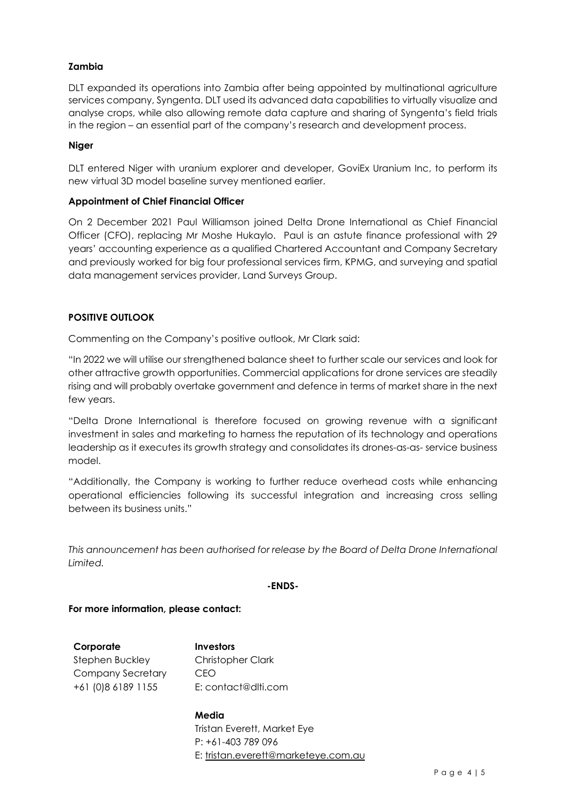# **Zambia**

DLT expanded its operations into Zambia after being appointed by multinational agriculture services company, Syngenta. DLT used its advanced data capabilities to virtually visualize and analyse crops, while also allowing remote data capture and sharing of Syngenta's field trials in the region – an essential part of the company's research and development process.

## **Niger**

DLT entered Niger with uranium explorer and developer, GoviEx Uranium Inc, to perform its new virtual 3D model baseline survey mentioned earlier.

## **Appointment of Chief Financial Officer**

On 2 December 2021 Paul Williamson joined Delta Drone International as Chief Financial Officer (CFO), replacing Mr Moshe Hukaylo. Paul is an astute finance professional with 29 years' accounting experience as a qualified Chartered Accountant and Company Secretary and previously worked for big four professional services firm, KPMG, and surveying and spatial data management services provider, Land Surveys Group.

# **POSITIVE OUTLOOK**

Commenting on the Company's positive outlook, Mr Clark said:

"In 2022 we will utilise our strengthened balance sheet to further scale our services and look for other attractive growth opportunities. Commercial applications for drone services are steadily rising and will probably overtake government and defence in terms of market share in the next few years.

"Delta Drone International is therefore focused on growing revenue with a significant investment in sales and marketing to harness the reputation of its technology and operations leadership as it executes its growth strategy and consolidates its drones-as-as- service business model.

"Additionally, the Company is working to further reduce overhead costs while enhancing operational efficiencies following its successful integration and increasing cross selling between its business units."

*This announcement has been authorised for release by the Board of Delta Drone International Limited.*

### **-ENDS-**

### **For more information, please contact:**

**Corporate** Stephen Buckley Company Secretary +61 (0)8 6189 1155 **Investors** Christopher Clark CEO E: contact@dlti.com

# **Media**  Tristan Everett, Market Eye P: +61-403 789 096 E: tristan.everett@marketeye.com.au